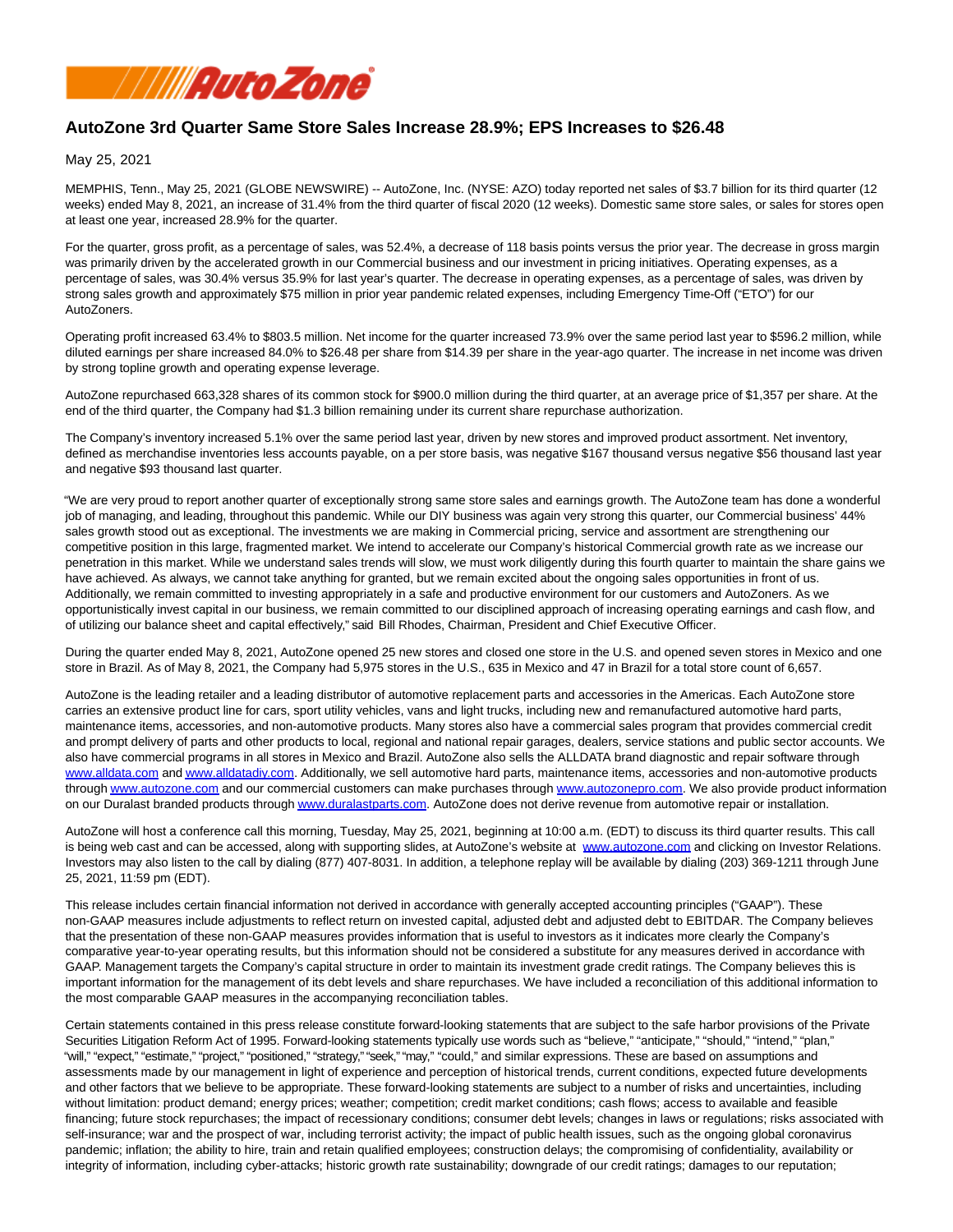

# **AutoZone 3rd Quarter Same Store Sales Increase 28.9%; EPS Increases to \$26.48**

May 25, 2021

MEMPHIS, Tenn., May 25, 2021 (GLOBE NEWSWIRE) -- AutoZone, Inc. (NYSE: AZO) today reported net sales of \$3.7 billion for its third quarter (12 weeks) ended May 8, 2021, an increase of 31.4% from the third quarter of fiscal 2020 (12 weeks). Domestic same store sales, or sales for stores open at least one year, increased 28.9% for the quarter.

For the quarter, gross profit, as a percentage of sales, was 52.4%, a decrease of 118 basis points versus the prior year. The decrease in gross margin was primarily driven by the accelerated growth in our Commercial business and our investment in pricing initiatives. Operating expenses, as a percentage of sales, was 30.4% versus 35.9% for last year's quarter. The decrease in operating expenses, as a percentage of sales, was driven by strong sales growth and approximately \$75 million in prior year pandemic related expenses, including Emergency Time-Off ("ETO") for our AutoZoners.

Operating profit increased 63.4% to \$803.5 million. Net income for the quarter increased 73.9% over the same period last year to \$596.2 million, while diluted earnings per share increased 84.0% to \$26.48 per share from \$14.39 per share in the year-ago quarter. The increase in net income was driven by strong topline growth and operating expense leverage.

AutoZone repurchased 663,328 shares of its common stock for \$900.0 million during the third quarter, at an average price of \$1,357 per share. At the end of the third quarter, the Company had \$1.3 billion remaining under its current share repurchase authorization.

The Company's inventory increased 5.1% over the same period last year, driven by new stores and improved product assortment. Net inventory, defined as merchandise inventories less accounts payable, on a per store basis, was negative \$167 thousand versus negative \$56 thousand last year and negative \$93 thousand last quarter.

"We are very proud to report another quarter of exceptionally strong same store sales and earnings growth. The AutoZone team has done a wonderful job of managing, and leading, throughout this pandemic. While our DIY business was again very strong this quarter, our Commercial business' 44% sales growth stood out as exceptional. The investments we are making in Commercial pricing, service and assortment are strengthening our competitive position in this large, fragmented market. We intend to accelerate our Company's historical Commercial growth rate as we increase our penetration in this market. While we understand sales trends will slow, we must work diligently during this fourth quarter to maintain the share gains we have achieved. As always, we cannot take anything for granted, but we remain excited about the ongoing sales opportunities in front of us. Additionally, we remain committed to investing appropriately in a safe and productive environment for our customers and AutoZoners. As we opportunistically invest capital in our business, we remain committed to our disciplined approach of increasing operating earnings and cash flow, and of utilizing our balance sheet and capital effectively," said Bill Rhodes, Chairman, President and Chief Executive Officer.

During the quarter ended May 8, 2021, AutoZone opened 25 new stores and closed one store in the U.S. and opened seven stores in Mexico and one store in Brazil. As of May 8, 2021, the Company had 5,975 stores in the U.S., 635 in Mexico and 47 in Brazil for a total store count of 6,657.

AutoZone is the leading retailer and a leading distributor of automotive replacement parts and accessories in the Americas. Each AutoZone store carries an extensive product line for cars, sport utility vehicles, vans and light trucks, including new and remanufactured automotive hard parts, maintenance items, accessories, and non-automotive products. Many stores also have a commercial sales program that provides commercial credit and prompt delivery of parts and other products to local, regional and national repair garages, dealers, service stations and public sector accounts. We also have commercial programs in all stores in Mexico and Brazil. AutoZone also sells the ALLDATA brand diagnostic and repair software through [www.alldata.com a](http://www.alldata.com/)n[d www.alldatadiy.com.](http://www.alldatadiy.com/) Additionally, we sell automotive hard parts, maintenance items, accessories and non-automotive products throug[h www.autozone.com a](http://www.autozone.com/)nd our commercial customers can make purchases through [www.autozonepro.com.](http://www.autozonepro.com/) We also provide product information on our Duralast branded products throug[h www.duralastparts.com.](http://www.duralastparts.com/) AutoZone does not derive revenue from automotive repair or installation.

AutoZone will host a conference call this morning, Tuesday, May 25, 2021, beginning at 10:00 a.m. (EDT) to discuss its third quarter results. This call is being web cast and can be accessed, along with supporting slides, at AutoZone's website at [www.autozone.com a](http://www.autozone.com/)nd clicking on Investor Relations. Investors may also listen to the call by dialing (877) 407-8031. In addition, a telephone replay will be available by dialing (203) 369-1211 through June 25, 2021, 11:59 pm (EDT).

This release includes certain financial information not derived in accordance with generally accepted accounting principles ("GAAP"). These non-GAAP measures include adjustments to reflect return on invested capital, adjusted debt and adjusted debt to EBITDAR. The Company believes that the presentation of these non-GAAP measures provides information that is useful to investors as it indicates more clearly the Company's comparative year-to-year operating results, but this information should not be considered a substitute for any measures derived in accordance with GAAP. Management targets the Company's capital structure in order to maintain its investment grade credit ratings. The Company believes this is important information for the management of its debt levels and share repurchases. We have included a reconciliation of this additional information to the most comparable GAAP measures in the accompanying reconciliation tables.

Certain statements contained in this press release constitute forward-looking statements that are subject to the safe harbor provisions of the Private Securities Litigation Reform Act of 1995. Forward-looking statements typically use words such as "believe," "anticipate," "should," "intend," "plan," "will," "expect," "estimate," "project," "positioned," "strategy," "seek," "may," "could," and similar expressions. These are based on assumptions and assessments made by our management in light of experience and perception of historical trends, current conditions, expected future developments and other factors that we believe to be appropriate. These forward-looking statements are subject to a number of risks and uncertainties, including without limitation: product demand; energy prices; weather; competition; credit market conditions; cash flows; access to available and feasible financing; future stock repurchases; the impact of recessionary conditions; consumer debt levels; changes in laws or regulations; risks associated with self-insurance; war and the prospect of war, including terrorist activity; the impact of public health issues, such as the ongoing global coronavirus pandemic; inflation; the ability to hire, train and retain qualified employees; construction delays; the compromising of confidentiality, availability or integrity of information, including cyber-attacks; historic growth rate sustainability; downgrade of our credit ratings; damages to our reputation;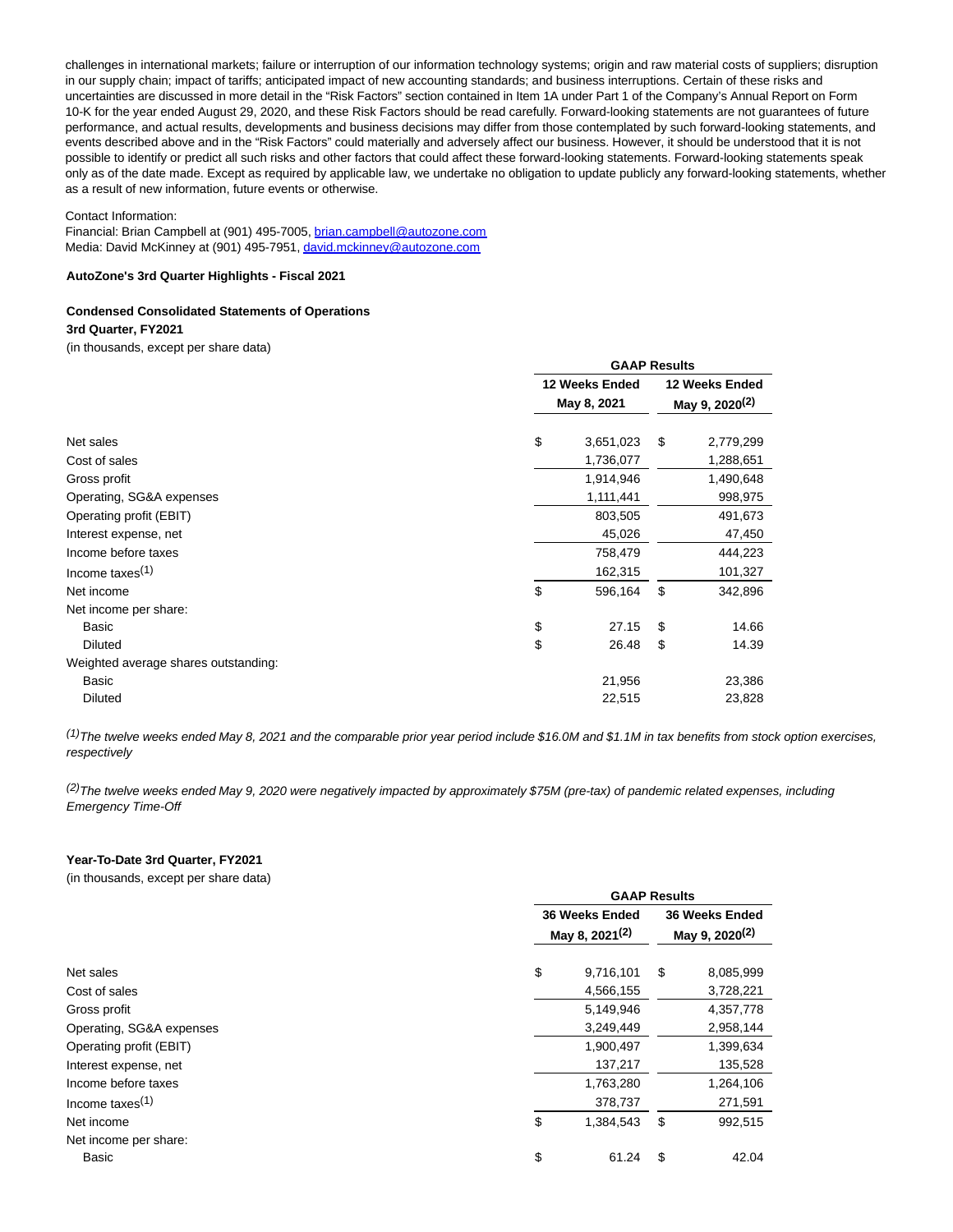challenges in international markets; failure or interruption of our information technology systems; origin and raw material costs of suppliers; disruption in our supply chain; impact of tariffs; anticipated impact of new accounting standards; and business interruptions. Certain of these risks and uncertainties are discussed in more detail in the "Risk Factors" section contained in Item 1A under Part 1 of the Company's Annual Report on Form 10-K for the year ended August 29, 2020, and these Risk Factors should be read carefully. Forward-looking statements are not guarantees of future performance, and actual results, developments and business decisions may differ from those contemplated by such forward-looking statements, and events described above and in the "Risk Factors" could materially and adversely affect our business. However, it should be understood that it is not possible to identify or predict all such risks and other factors that could affect these forward-looking statements. Forward-looking statements speak only as of the date made. Except as required by applicable law, we undertake no obligation to update publicly any forward-looking statements, whether as a result of new information, future events or otherwise.

#### Contact Information:

Financial: Brian Campbell at (901) 495-7005[, brian.campbell@autozone.com](mailto:brian.campbell@autozone.com) Media: David McKinney at (901) 495-7951[, david.mckinney@autozone.com](mailto:david.mckinney@autozone.com)

#### **AutoZone's 3rd Quarter Highlights - Fiscal 2021**

#### **Condensed Consolidated Statements of Operations**

#### **3rd Quarter, FY2021**

(in thousands, except per share data)

|                                      |    | <b>GAAP Results</b>           |    |           |  |  |
|--------------------------------------|----|-------------------------------|----|-----------|--|--|
|                                      |    | 12 Weeks Ended<br>May 8, 2021 |    |           |  |  |
|                                      |    |                               |    |           |  |  |
| Net sales                            | \$ | 3,651,023                     | \$ | 2,779,299 |  |  |
| Cost of sales                        |    | 1,736,077                     |    | 1,288,651 |  |  |
| Gross profit                         |    | 1,914,946                     |    | 1,490,648 |  |  |
| Operating, SG&A expenses             |    | 1,111,441                     |    | 998,975   |  |  |
| Operating profit (EBIT)              |    | 803,505                       |    | 491,673   |  |  |
| Interest expense, net                |    | 45,026                        |    | 47,450    |  |  |
| Income before taxes                  |    | 758,479                       |    | 444,223   |  |  |
| Income taxes $(1)$                   |    | 162,315                       |    | 101,327   |  |  |
| Net income                           | \$ | 596,164                       | \$ | 342,896   |  |  |
| Net income per share:                |    |                               |    |           |  |  |
| Basic                                | \$ | 27.15                         | \$ | 14.66     |  |  |
| <b>Diluted</b>                       | \$ | 26.48                         | \$ | 14.39     |  |  |
| Weighted average shares outstanding: |    |                               |    |           |  |  |
| Basic                                |    | 21,956                        |    | 23,386    |  |  |
| <b>Diluted</b>                       |    | 22,515                        |    | 23,828    |  |  |
|                                      |    |                               |    |           |  |  |

 $^{(1)}$ The twelve weeks ended May 8, 2021 and the comparable prior year period include \$16.0M and \$1.1M in tax benefits from stock option exercises, respectively

 $^{(2)}$ The twelve weeks ended May 9, 2020 were negatively impacted by approximately \$75M (pre-tax) of pandemic related expenses, including Emergency Time-Off

#### **Year-To-Date 3rd Quarter, FY2021**

(in thousands, except per share data)

|                          | <b>GAAP Results</b>                          |                                              |    |           |  |  |  |  |
|--------------------------|----------------------------------------------|----------------------------------------------|----|-----------|--|--|--|--|
|                          | 36 Weeks Ended<br>May 8, 2021 <sup>(2)</sup> | 36 Weeks Ended<br>May 9, 2020 <sup>(2)</sup> |    |           |  |  |  |  |
| Net sales                | \$                                           | 9,716,101                                    | \$ | 8,085,999 |  |  |  |  |
| Cost of sales            |                                              | 4,566,155                                    |    | 3,728,221 |  |  |  |  |
| Gross profit             |                                              | 5,149,946                                    |    | 4,357,778 |  |  |  |  |
| Operating, SG&A expenses |                                              | 3,249,449                                    |    | 2,958,144 |  |  |  |  |
| Operating profit (EBIT)  |                                              | 1,900,497                                    |    | 1,399,634 |  |  |  |  |
| Interest expense, net    |                                              | 137,217                                      |    | 135,528   |  |  |  |  |
| Income before taxes      |                                              | 1,763,280                                    |    | 1,264,106 |  |  |  |  |
| Income taxes $(1)$       |                                              | 378,737                                      |    | 271,591   |  |  |  |  |
| Net income               | \$                                           | 1,384,543                                    | \$ | 992,515   |  |  |  |  |
| Net income per share:    |                                              |                                              |    |           |  |  |  |  |
| Basic                    | \$                                           | 61.24                                        | S  | 42.04     |  |  |  |  |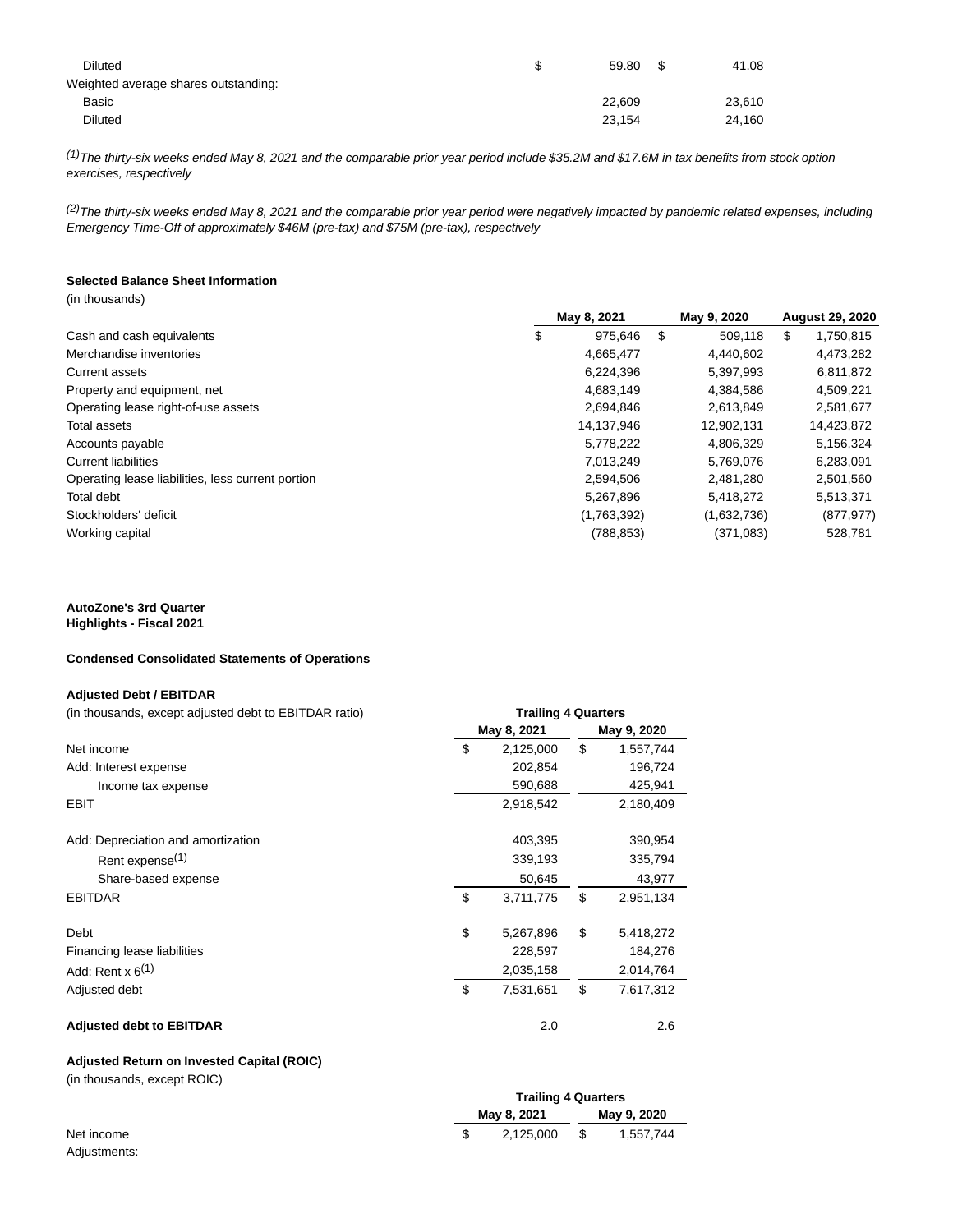| <b>Diluted</b>                       | \$<br>59.80 | - \$ | 41.08  |
|--------------------------------------|-------------|------|--------|
| Weighted average shares outstanding: |             |      |        |
| Basic                                | 22.609      |      | 23,610 |
| <b>Diluted</b>                       | 23.154      |      | 24.160 |

 $^{(1)}$ The thirty-six weeks ended May 8, 2021 and the comparable prior year period include \$35.2M and \$17.6M in tax benefits from stock option exercises, respectively

 $(2)$ The thirty-six weeks ended May 8, 2021 and the comparable prior year period were negatively impacted by pandemic related expenses, including Emergency Time-Off of approximately \$46M (pre-tax) and \$75M (pre-tax), respectively

#### **Selected Balance Sheet Information** (in thousands)

|                                                   | May 8, 2021 |      | May 9, 2020 | <b>August 29, 2020</b> |            |  |
|---------------------------------------------------|-------------|------|-------------|------------------------|------------|--|
| \$<br>Cash and cash equivalents                   | 975.646     | - \$ | 509.118     | \$                     | 1,750,815  |  |
| Merchandise inventories                           | 4,665,477   |      | 4,440,602   |                        | 4,473,282  |  |
| <b>Current assets</b>                             | 6,224,396   |      | 5,397,993   |                        | 6,811,872  |  |
| Property and equipment, net                       | 4,683,149   |      | 4,384,586   |                        | 4,509,221  |  |
| Operating lease right-of-use assets               | 2,694,846   |      | 2.613.849   |                        | 2,581,677  |  |
| Total assets                                      | 14,137,946  |      | 12,902,131  |                        | 14,423,872 |  |
| Accounts payable                                  | 5,778,222   |      | 4,806,329   |                        | 5,156,324  |  |
| <b>Current liabilities</b>                        | 7,013,249   |      | 5,769,076   |                        | 6,283,091  |  |
| Operating lease liabilities, less current portion | 2,594,506   |      | 2,481,280   |                        | 2,501,560  |  |
| Total debt                                        | 5,267,896   |      | 5,418,272   |                        | 5,513,371  |  |
| Stockholders' deficit                             | (1,763,392) |      | (1,632,736) |                        | (877, 977) |  |
| Working capital                                   | (788, 853)  |      | (371,083)   |                        | 528,781    |  |

# **AutoZone's 3rd Quarter**

**Highlights - Fiscal 2021**

### **Condensed Consolidated Statements of Operations**

### **Adjusted Debt / EBITDAR**

| (in thousands, except adjusted debt to EBITDAR ratio) | <b>Trailing 4 Quarters</b> |             |             |           |  |  |  |
|-------------------------------------------------------|----------------------------|-------------|-------------|-----------|--|--|--|
|                                                       |                            | May 8, 2021 | May 9, 2020 |           |  |  |  |
| Net income                                            | \$                         | 2,125,000   | \$          | 1,557,744 |  |  |  |
| Add: Interest expense                                 |                            | 202,854     |             | 196,724   |  |  |  |
| Income tax expense                                    |                            | 590,688     |             | 425,941   |  |  |  |
| <b>EBIT</b>                                           |                            | 2,918,542   |             | 2,180,409 |  |  |  |
| Add: Depreciation and amortization                    |                            | 403,395     |             | 390,954   |  |  |  |
| Rent expense <sup>(1)</sup>                           |                            | 339,193     |             | 335,794   |  |  |  |
| Share-based expense                                   |                            | 50,645      |             | 43,977    |  |  |  |
| <b>EBITDAR</b>                                        | \$                         | 3,711,775   | \$          | 2,951,134 |  |  |  |
| Debt                                                  | \$                         | 5,267,896   | \$          | 5,418,272 |  |  |  |
| Financing lease liabilities                           |                            | 228,597     |             | 184,276   |  |  |  |
| Add: Rent $x$ 6 <sup>(1)</sup>                        |                            | 2,035,158   |             | 2,014,764 |  |  |  |
| Adjusted debt                                         | \$                         | 7,531,651   | \$          | 7,617,312 |  |  |  |
| <b>Adjusted debt to EBITDAR</b>                       |                            | 2.0         |             | 2.6       |  |  |  |

# **Adjusted Return on Invested Capital (ROIC)**

(in thousands, except ROIC)

|              |  | <b>Trailing 4 Quarters</b> |             |           |  |  |
|--------------|--|----------------------------|-------------|-----------|--|--|
|              |  | May 8, 2021                | May 9, 2020 |           |  |  |
| Net income   |  | 2.125.000                  | - \$        | 1.557.744 |  |  |
| Adjustments: |  |                            |             |           |  |  |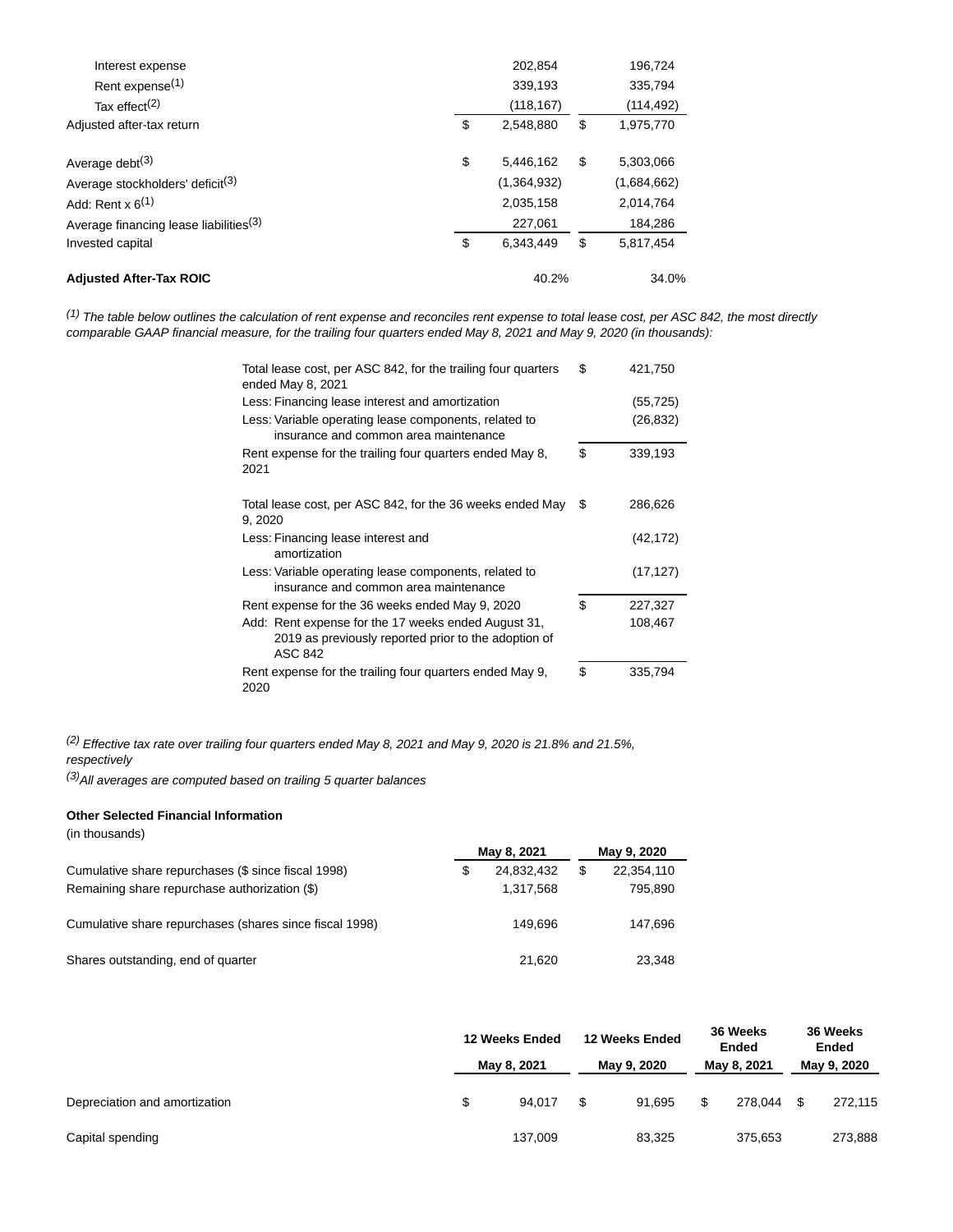| Interest expense                                   | 202,854         |       | 196,724     |
|----------------------------------------------------|-----------------|-------|-------------|
| Rent expense <sup>(1)</sup>                        | 339,193         |       | 335.794     |
| Tax effect <sup>(2)</sup>                          | (118,167)       |       | (114,492)   |
| Adjusted after-tax return                          | \$<br>2.548.880 | \$    | 1,975,770   |
| Average debt $(3)$                                 | \$<br>5.446.162 | \$    | 5,303,066   |
| Average stockholders' deficit <sup>(3)</sup>       | (1,364,932)     |       | (1,684,662) |
| Add: Rent $x$ 6 <sup>(1)</sup>                     | 2,035,158       |       | 2,014,764   |
| Average financing lease liabilities <sup>(3)</sup> | 227,061         |       | 184,286     |
| Invested capital                                   | \$<br>6.343.449 | \$    | 5.817.454   |
| <b>Adjusted After-Tax ROIC</b>                     | 40.2%           | 34.0% |             |

 $^{(1)}$  The table below outlines the calculation of rent expense and reconciles rent expense to total lease cost, per ASC 842, the most directly comparable GAAP financial measure, for the trailing four quarters ended May 8, 2021 and May 9, 2020 (in thousands):

| Total lease cost, per ASC 842, for the trailing four quarters<br>ended May 8, 2021                                            | \$<br>421,750 |
|-------------------------------------------------------------------------------------------------------------------------------|---------------|
| Less: Financing lease interest and amortization                                                                               | (55,725)      |
| Less: Variable operating lease components, related to<br>insurance and common area maintenance                                | (26,832)      |
| Rent expense for the trailing four quarters ended May 8,<br>2021                                                              | \$<br>339,193 |
| Total lease cost, per ASC 842, for the 36 weeks ended May<br>9, 2020                                                          | \$<br>286,626 |
| Less: Financing lease interest and<br>amortization                                                                            | (42, 172)     |
| Less: Variable operating lease components, related to<br>insurance and common area maintenance                                | (17, 127)     |
| Rent expense for the 36 weeks ended May 9, 2020                                                                               | \$<br>227,327 |
| Add: Rent expense for the 17 weeks ended August 31,<br>2019 as previously reported prior to the adoption of<br><b>ASC 842</b> | 108,467       |
| Rent expense for the trailing four quarters ended May 9,<br>2020                                                              | \$<br>335,794 |

(2) Effective tax rate over trailing four quarters ended May 8, 2021 and May 9, 2020 is 21.8% and 21.5%, respectively

 $(3)$ All averages are computed based on trailing 5 quarter balances

## **Other Selected Financial Information**

(in thousands)

|                                                         |   | May 8, 2021 | May 9, 2020      |
|---------------------------------------------------------|---|-------------|------------------|
| Cumulative share repurchases (\$ since fiscal 1998)     | S | 24,832,432  | \$<br>22,354,110 |
| Remaining share repurchase authorization (\$)           |   | 1.317.568   | 795,890          |
| Cumulative share repurchases (shares since fiscal 1998) |   | 149.696     | 147,696          |
| Shares outstanding, end of quarter                      |   | 21.620      | 23.348           |

|                               | 12 Weeks Ended |             | 12 Weeks Ended |             | 36 Weeks<br>Ended |             | 36 Weeks<br>Ended |
|-------------------------------|----------------|-------------|----------------|-------------|-------------------|-------------|-------------------|
|                               |                | May 8, 2021 |                | May 9, 2020 |                   | May 8, 2021 | May 9, 2020       |
| Depreciation and amortization | S              | 94.017      | S              | 91.695      | S                 | 278.044     | 272.115           |
| Capital spending              |                | 137.009     |                | 83.325      |                   | 375.653     | 273,888           |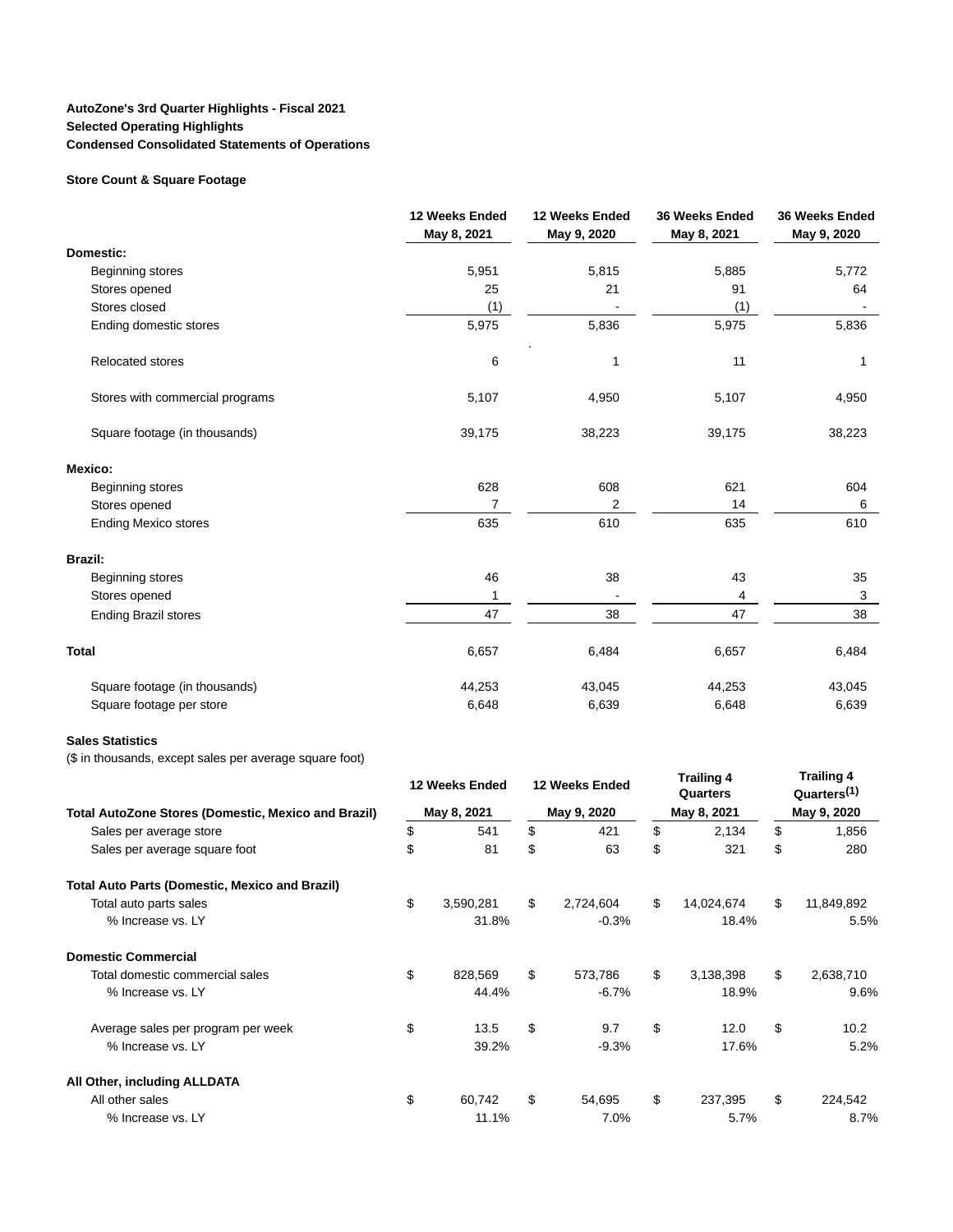## **AutoZone's 3rd Quarter Highlights - Fiscal 2021 Selected Operating Highlights Condensed Consolidated Statements of Operations**

### **Store Count & Square Footage**

|                                 | 12 Weeks Ended<br>May 8, 2021 | 12 Weeks Ended<br>May 9, 2020 | 36 Weeks Ended<br>May 8, 2021 | 36 Weeks Ended<br>May 9, 2020 |
|---------------------------------|-------------------------------|-------------------------------|-------------------------------|-------------------------------|
| Domestic:                       |                               |                               |                               |                               |
| Beginning stores                | 5,951                         | 5,815                         | 5,885                         | 5,772                         |
| Stores opened                   | 25                            | 21                            | 91                            | 64                            |
| Stores closed                   | (1)                           |                               | (1)                           |                               |
| Ending domestic stores          | 5,975                         | 5,836                         | 5,975                         | 5,836                         |
| <b>Relocated stores</b>         | 6                             | 1                             | 11                            | 1                             |
| Stores with commercial programs | 5,107                         | 4,950                         | 5,107                         | 4,950                         |
| Square footage (in thousands)   | 39,175                        | 38,223                        | 39,175                        | 38,223                        |
| Mexico:                         |                               |                               |                               |                               |
| Beginning stores                | 628                           | 608                           | 621                           | 604                           |
| Stores opened                   | 7                             | 2                             | 14                            | 6                             |
| <b>Ending Mexico stores</b>     | 635                           | 610                           | 635                           | 610                           |
| <b>Brazil:</b>                  |                               |                               |                               |                               |
| Beginning stores                | 46                            | 38                            | 43                            | 35                            |
| Stores opened                   | 1                             |                               | 4                             | 3                             |
| <b>Ending Brazil stores</b>     | 47                            | 38                            | 47                            | 38                            |
| <b>Total</b>                    | 6,657                         | 6,484                         | 6,657                         | 6,484                         |
| Square footage (in thousands)   | 44,253                        | 43,045                        | 44,253                        | 43,045                        |
| Square footage per store        | 6,648                         | 6,639                         | 6,648                         | 6,639                         |

### **Sales Statistics**

(\$ in thousands, except sales per average square foot)

|                                                            |    | 12 Weeks Ended |             | 12 Weeks Ended |    |             |             | <b>Trailing 4</b><br>Quarters |  | <b>Trailing 4</b><br>Quarters <sup>(1)</sup> |
|------------------------------------------------------------|----|----------------|-------------|----------------|----|-------------|-------------|-------------------------------|--|----------------------------------------------|
| <b>Total AutoZone Stores (Domestic, Mexico and Brazil)</b> |    | May 8, 2021    | May 9, 2020 |                |    | May 8, 2021 | May 9, 2020 |                               |  |                                              |
| Sales per average store                                    | \$ | 541            | \$          | 421            | \$ | 2,134       | \$          | 1,856                         |  |                                              |
| Sales per average square foot                              | \$ | 81             | \$          | 63             | \$ | 321         | \$          | 280                           |  |                                              |
| Total Auto Parts (Domestic, Mexico and Brazil)             |    |                |             |                |    |             |             |                               |  |                                              |
| Total auto parts sales                                     | \$ | 3,590,281      | \$          | 2,724,604      | \$ | 14,024,674  | \$          | 11,849,892                    |  |                                              |
| % Increase vs. LY                                          |    | 31.8%          |             | $-0.3%$        |    | 18.4%       |             | 5.5%                          |  |                                              |
| <b>Domestic Commercial</b>                                 |    |                |             |                |    |             |             |                               |  |                                              |
| Total domestic commercial sales                            | \$ | 828,569        | \$          | 573,786        | \$ | 3,138,398   | \$          | 2,638,710                     |  |                                              |
| % Increase vs. LY                                          |    | 44.4%          |             | $-6.7%$        |    | 18.9%       |             | 9.6%                          |  |                                              |
| Average sales per program per week                         | \$ | 13.5           | \$          | 9.7            | \$ | 12.0        | \$          | 10.2                          |  |                                              |
| % Increase vs. LY                                          |    | 39.2%          |             | $-9.3%$        |    | 17.6%       |             | 5.2%                          |  |                                              |
| All Other, including ALLDATA                               |    |                |             |                |    |             |             |                               |  |                                              |
| All other sales                                            | \$ | 60,742         | \$          | 54,695         | \$ | 237,395     | \$          | 224,542                       |  |                                              |
| % Increase vs. LY                                          |    | 11.1%          |             | 7.0%           |    | 5.7%        |             | 8.7%                          |  |                                              |